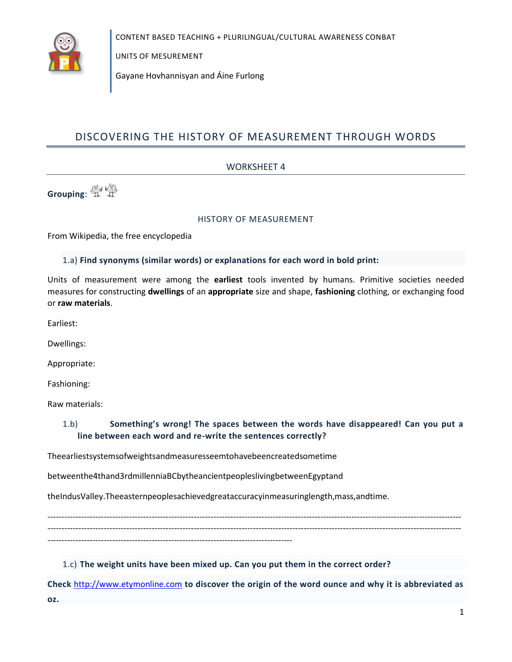

UNITS OF MESUREMENT

Gayane Hovhannisyan and Aine Furlong

# DISCOVERING THE HISTORY OF MEASUREMENT THROUGH WORDS

### **WORKSHEET 4**

Grouping: 1 1

#### HISTORY OF MEASUREMENT

From Wikipedia, the free encyclopedia

### 1.a) Find synonyms (similar words) or explanations for each word in bold print:

Units of measurement were among the earliest tools invented by humans. Primitive societies needed measures for constructing dwellings of an appropriate size and shape, fashioning clothing, or exchanging food or raw materials.

Earliest:

Dwellings:

Appropriate:

Fashioning:

Raw materials:

#### $1.b)$ Something's wrong! The spaces between the words have disappeared! Can you put a line between each word and re-write the sentences correctly?

Theearliestsystemsofweightsandmeasuresseemtohavebeencreatedsometime

betweenthe4thand3rdmillenniaBCbytheancientpeopleslivingbetweenEgyptand

theIndusValley.Theeasternpeoplesachievedgreataccuracyinmeasuringlength,mass,andtime.

1.c) The weight units have been mixed up. Can you put them in the correct order?

Check http://www.etymonline.com to discover the origin of the word ounce and why it is abbreviated as OZ.